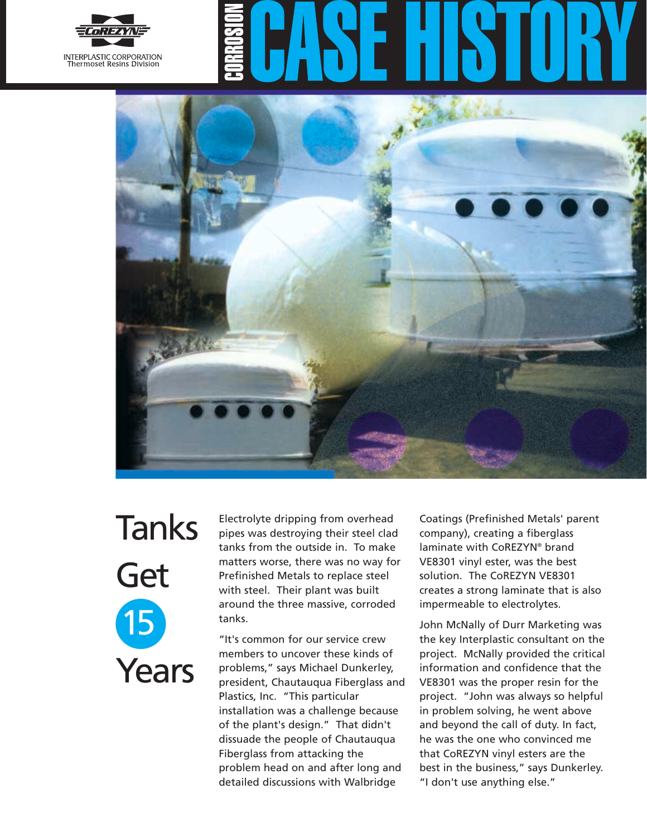



## Tanks Get 15 Years

Electrolyte dripping from overhead pipes was destroying their steel clad tanks from the outside in. To make matters worse, there was no way for Prefinished Metals to replace steel with steel. Their plant was built around the three massive, corroded tanks.

"It's common for our service crew members to uncover these kinds of problems," says Michael Dunkerley, president, Chautauqua Fiberglass and Plastics, Inc. "This particular installation was a challenge because of the plant's design." That didn't dissuade the people of Chautauqua Fiberglass from attacking the problem head on and after long and detailed discussions with Walbridge

Coatings (Prefinished Metals' parent company), creating a fiberglass laminate with CoREZYN® brand VE8301 vinyl ester, was the best solution. The CoREZYN VE8301 creates a strong laminate that is also impermeable to electrolytes.

John McNally of Durr Marketing was the key Interplastic consultant on the project. McNally provided the critical information and confidence that the VE8301 was the proper resin for the project. "John was always so helpful in problem solving, he went above and beyond the call of duty. In fact, he was the one who convinced me that CoREZYN vinyl esters are the best in the business," says Dunkerley. "I don't use anything else."